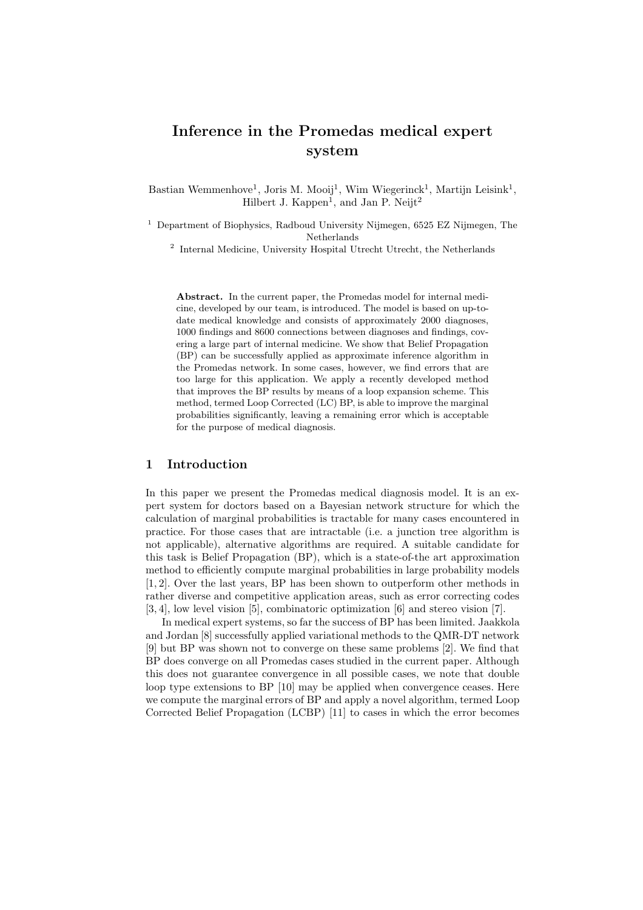# Inference in the Promedas medical expert system

Bastian Wemmenhove<sup>1</sup>, Joris M. Mooij<sup>1</sup>, Wim Wiegerinck<sup>1</sup>, Martijn Leisink<sup>1</sup>, Hilbert J. Kappen<sup>1</sup>, and Jan P. Neijt<sup>2</sup>

<sup>1</sup> Department of Biophysics, Radboud University Nijmegen, 6525 EZ Nijmegen, The Netherlands

2 Internal Medicine, University Hospital Utrecht Utrecht, the Netherlands

Abstract. In the current paper, the Promedas model for internal medicine, developed by our team, is introduced. The model is based on up-todate medical knowledge and consists of approximately 2000 diagnoses, 1000 findings and 8600 connections between diagnoses and findings, covering a large part of internal medicine. We show that Belief Propagation (BP) can be successfully applied as approximate inference algorithm in the Promedas network. In some cases, however, we find errors that are too large for this application. We apply a recently developed method that improves the BP results by means of a loop expansion scheme. This method, termed Loop Corrected (LC) BP, is able to improve the marginal probabilities significantly, leaving a remaining error which is acceptable for the purpose of medical diagnosis.

#### 1 Introduction

In this paper we present the Promedas medical diagnosis model. It is an expert system for doctors based on a Bayesian network structure for which the calculation of marginal probabilities is tractable for many cases encountered in practice. For those cases that are intractable (i.e. a junction tree algorithm is not applicable), alternative algorithms are required. A suitable candidate for this task is Belief Propagation (BP), which is a state-of-the art approximation method to efficiently compute marginal probabilities in large probability models [1, 2]. Over the last years, BP has been shown to outperform other methods in rather diverse and competitive application areas, such as error correcting codes [3, 4], low level vision [5], combinatoric optimization [6] and stereo vision [7].

In medical expert systems, so far the success of BP has been limited. Jaakkola and Jordan [8] successfully applied variational methods to the QMR-DT network [9] but BP was shown not to converge on these same problems [2]. We find that BP does converge on all Promedas cases studied in the current paper. Although this does not guarantee convergence in all possible cases, we note that double loop type extensions to BP [10] may be applied when convergence ceases. Here we compute the marginal errors of BP and apply a novel algorithm, termed Loop Corrected Belief Propagation (LCBP) [11] to cases in which the error becomes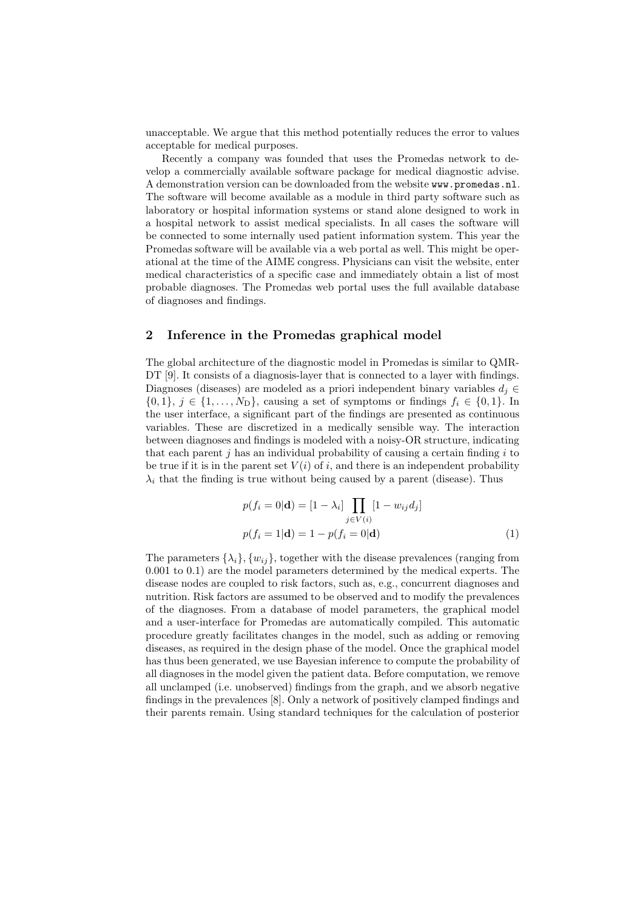unacceptable. We argue that this method potentially reduces the error to values acceptable for medical purposes.

Recently a company was founded that uses the Promedas network to develop a commercially available software package for medical diagnostic advise. A demonstration version can be downloaded from the website www.promedas.nl. The software will become available as a module in third party software such as laboratory or hospital information systems or stand alone designed to work in a hospital network to assist medical specialists. In all cases the software will be connected to some internally used patient information system. This year the Promedas software will be available via a web portal as well. This might be operational at the time of the AIME congress. Physicians can visit the website, enter medical characteristics of a specific case and immediately obtain a list of most probable diagnoses. The Promedas web portal uses the full available database of diagnoses and findings.

### 2 Inference in the Promedas graphical model

The global architecture of the diagnostic model in Promedas is similar to QMR-DT [9]. It consists of a diagnosis-layer that is connected to a layer with findings. Diagnoses (diseases) are modeled as a priori independent binary variables  $d_j \in$  $\{0,1\}, j \in \{1,\ldots,N_{\mathcal{D}}\},\$  causing a set of symptoms or findings  $f_i \in \{0,1\}.$  In the user interface, a significant part of the findings are presented as continuous variables. These are discretized in a medically sensible way. The interaction between diagnoses and findings is modeled with a noisy-OR structure, indicating that each parent j has an individual probability of causing a certain finding  $i$  to be true if it is in the parent set  $V(i)$  of i, and there is an independent probability  $\lambda_i$  that the finding is true without being caused by a parent (disease). Thus

$$
p(f_i = 0|\mathbf{d}) = [1 - \lambda_i] \prod_{j \in V(i)} [1 - w_{ij}d_j]
$$
  

$$
p(f_i = 1|\mathbf{d}) = 1 - p(f_i = 0|\mathbf{d})
$$
 (1)

The parameters  $\{\lambda_i\}$ ,  $\{w_{ij}\}$ , together with the disease prevalences (ranging from 0.001 to 0.1) are the model parameters determined by the medical experts. The disease nodes are coupled to risk factors, such as, e.g., concurrent diagnoses and nutrition. Risk factors are assumed to be observed and to modify the prevalences of the diagnoses. From a database of model parameters, the graphical model and a user-interface for Promedas are automatically compiled. This automatic procedure greatly facilitates changes in the model, such as adding or removing diseases, as required in the design phase of the model. Once the graphical model has thus been generated, we use Bayesian inference to compute the probability of all diagnoses in the model given the patient data. Before computation, we remove all unclamped (i.e. unobserved) findings from the graph, and we absorb negative findings in the prevalences [8]. Only a network of positively clamped findings and their parents remain. Using standard techniques for the calculation of posterior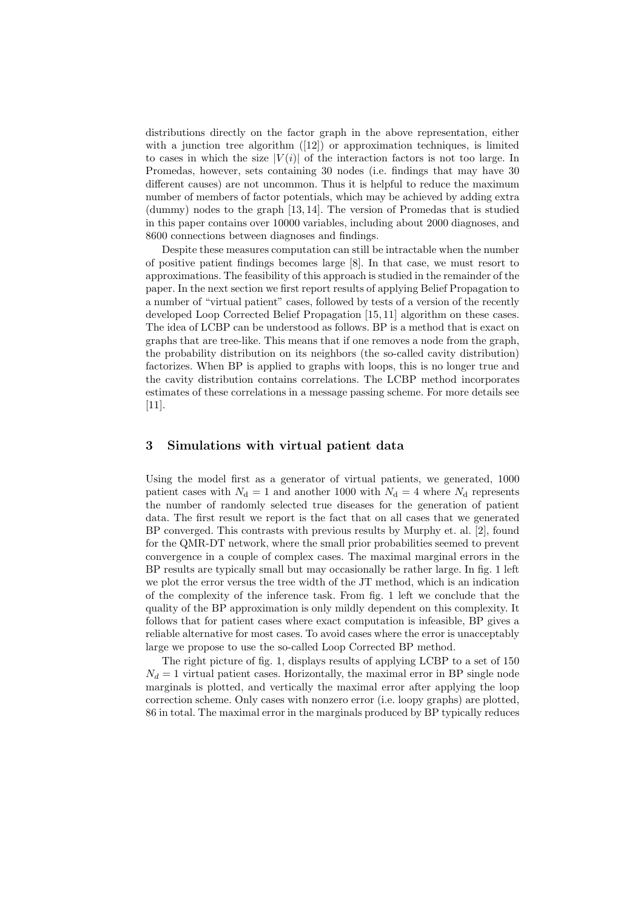distributions directly on the factor graph in the above representation, either with a junction tree algorithm  $(12)$  or approximation techniques, is limited to cases in which the size  $|V(i)|$  of the interaction factors is not too large. In Promedas, however, sets containing 30 nodes (i.e. findings that may have 30 different causes) are not uncommon. Thus it is helpful to reduce the maximum number of members of factor potentials, which may be achieved by adding extra (dummy) nodes to the graph [13, 14]. The version of Promedas that is studied in this paper contains over 10000 variables, including about 2000 diagnoses, and 8600 connections between diagnoses and findings.

Despite these measures computation can still be intractable when the number of positive patient findings becomes large [8]. In that case, we must resort to approximations. The feasibility of this approach is studied in the remainder of the paper. In the next section we first report results of applying Belief Propagation to a number of "virtual patient" cases, followed by tests of a version of the recently developed Loop Corrected Belief Propagation [15, 11] algorithm on these cases. The idea of LCBP can be understood as follows. BP is a method that is exact on graphs that are tree-like. This means that if one removes a node from the graph, the probability distribution on its neighbors (the so-called cavity distribution) factorizes. When BP is applied to graphs with loops, this is no longer true and the cavity distribution contains correlations. The LCBP method incorporates estimates of these correlations in a message passing scheme. For more details see [11].

#### 3 Simulations with virtual patient data

Using the model first as a generator of virtual patients, we generated, 1000 patient cases with  $N_d = 1$  and another 1000 with  $N_d = 4$  where  $N_d$  represents the number of randomly selected true diseases for the generation of patient data. The first result we report is the fact that on all cases that we generated BP converged. This contrasts with previous results by Murphy et. al. [2], found for the QMR-DT network, where the small prior probabilities seemed to prevent convergence in a couple of complex cases. The maximal marginal errors in the BP results are typically small but may occasionally be rather large. In fig. 1 left we plot the error versus the tree width of the JT method, which is an indication of the complexity of the inference task. From fig. 1 left we conclude that the quality of the BP approximation is only mildly dependent on this complexity. It follows that for patient cases where exact computation is infeasible, BP gives a reliable alternative for most cases. To avoid cases where the error is unacceptably large we propose to use the so-called Loop Corrected BP method.

The right picture of fig. 1, displays results of applying LCBP to a set of 150  $N_d = 1$  virtual patient cases. Horizontally, the maximal error in BP single node marginals is plotted, and vertically the maximal error after applying the loop correction scheme. Only cases with nonzero error (i.e. loopy graphs) are plotted, 86 in total. The maximal error in the marginals produced by BP typically reduces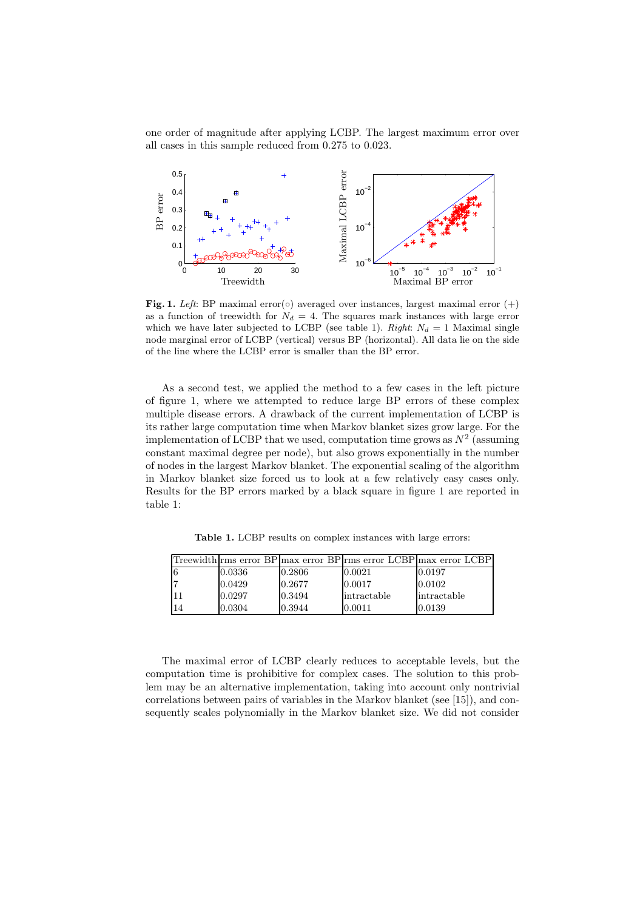one order of magnitude after applying LCBP. The largest maximum error over all cases in this sample reduced from 0.275 to 0.023.



Fig. 1. Left: BP maximal error(⊙) averaged over instances, largest maximal error  $(+)$ as a function of treewidth for  $N_d = 4$ . The squares mark instances with large error which we have later subjected to LCBP (see table 1). Right:  $N_d = 1$  Maximal single node marginal error of LCBP (vertical) versus BP (horizontal). All data lie on the side of the line where the LCBP error is smaller than the BP error.

As a second test, we applied the method to a few cases in the left picture of figure 1, where we attempted to reduce large BP errors of these complex multiple disease errors. A drawback of the current implementation of LCBP is its rather large computation time when Markov blanket sizes grow large. For the implementation of LCBP that we used, computation time grows as  $N^2$  (assuming constant maximal degree per node), but also grows exponentially in the number of nodes in the largest Markov blanket. The exponential scaling of the algorithm in Markov blanket size forced us to look at a few relatively easy cases only. Results for the BP errors marked by a black square in figure 1 are reported in table 1:

Table 1. LCBP results on complex instances with large errors:

|    |        |        |             | Treewidth rms error BP max error BP rms error LCBP max error LCBP |
|----|--------|--------|-------------|-------------------------------------------------------------------|
|    | 0.0336 | 0.2806 | 0.0021      | 0.0197                                                            |
|    | 0.0429 | 0.2677 | 0.0017      | 0.0102                                                            |
|    | 0.0297 | 0.3494 | intractable | intractable                                                       |
| 14 | 0.0304 | 0.3944 | 0.0011      | 0.0139                                                            |

The maximal error of LCBP clearly reduces to acceptable levels, but the computation time is prohibitive for complex cases. The solution to this problem may be an alternative implementation, taking into account only nontrivial correlations between pairs of variables in the Markov blanket (see [15]), and consequently scales polynomially in the Markov blanket size. We did not consider